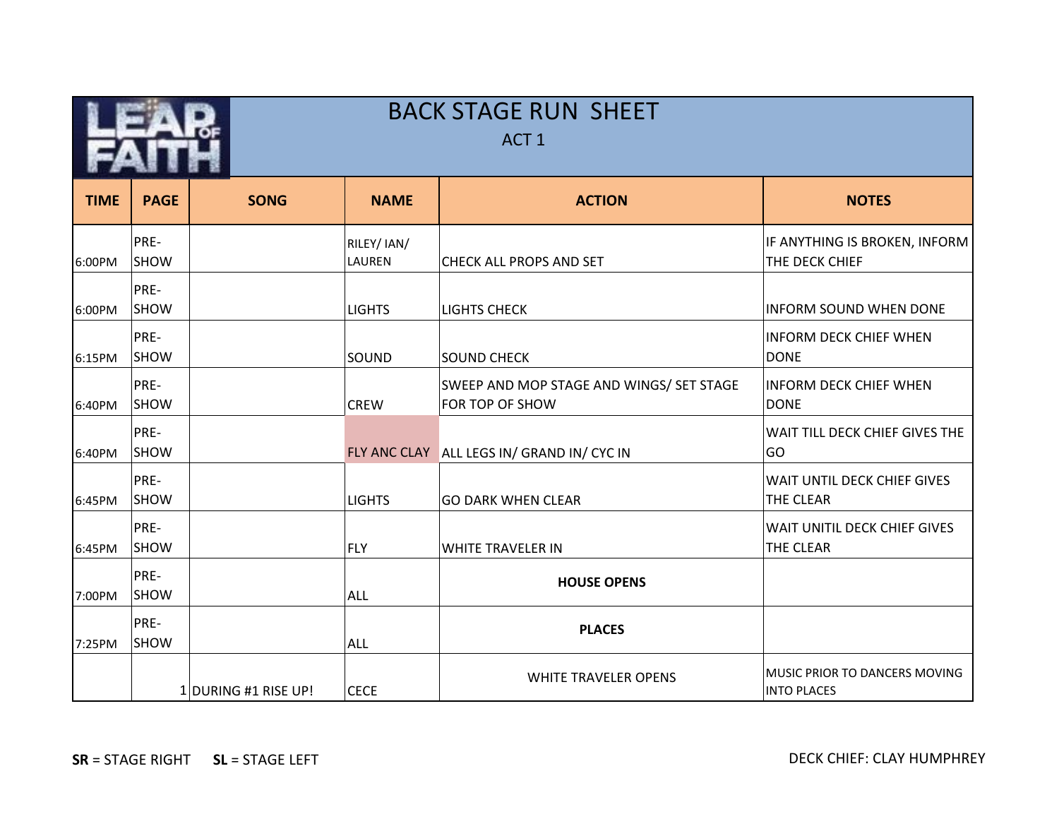|             |              |                      |                       | <b>BACK STAGE RUN SHEET</b><br>ACT <sub>1</sub>             |                                                     |
|-------------|--------------|----------------------|-----------------------|-------------------------------------------------------------|-----------------------------------------------------|
| <b>TIME</b> | <b>PAGE</b>  | <b>SONG</b>          | <b>NAME</b>           | <b>ACTION</b>                                               | <b>NOTES</b>                                        |
| 6:00PM      | PRE-<br>SHOW |                      | RILEY/ IAN/<br>LAUREN | CHECK ALL PROPS AND SET                                     | IF ANYTHING IS BROKEN, INFORM<br>THE DECK CHIEF     |
| 6:00PM      | PRE-<br>SHOW |                      | <b>LIGHTS</b>         | LIGHTS CHECK                                                | <b>INFORM SOUND WHEN DONE</b>                       |
| 6:15PM      | PRE-<br>SHOW |                      | <b>SOUND</b>          | <b>SOUND CHECK</b>                                          | <b>INFORM DECK CHIEF WHEN</b><br><b>DONE</b>        |
| 6:40PM      | PRE-<br>SHOW |                      | <b>CREW</b>           | SWEEP AND MOP STAGE AND WINGS/ SET STAGE<br>FOR TOP OF SHOW | <b>INFORM DECK CHIEF WHEN</b><br><b>DONE</b>        |
| 6:40PM      | PRE-<br>SHOW |                      |                       | FLY ANC CLAY ALL LEGS IN/ GRAND IN/ CYC IN                  | WAIT TILL DECK CHIEF GIVES THE<br>GO                |
| 6:45PM      | PRE-<br>SHOW |                      | <b>LIGHTS</b>         | <b>GO DARK WHEN CLEAR</b>                                   | WAIT UNTIL DECK CHIEF GIVES<br>THE CLEAR            |
| 6:45PM      | PRE-<br>SHOW |                      | <b>FLY</b>            | <b>WHITE TRAVELER IN</b>                                    | WAIT UNITIL DECK CHIEF GIVES<br>THE CLEAR           |
| 7:00PM      | PRE-<br>SHOW |                      | <b>ALL</b>            | <b>HOUSE OPENS</b>                                          |                                                     |
| 7:25PM      | PRE-<br>SHOW |                      | <b>ALL</b>            | <b>PLACES</b>                                               |                                                     |
|             |              | 1 DURING #1 RISE UP! | <b>CECE</b>           | <b>WHITE TRAVELER OPENS</b>                                 | MUSIC PRIOR TO DANCERS MOVING<br><b>INTO PLACES</b> |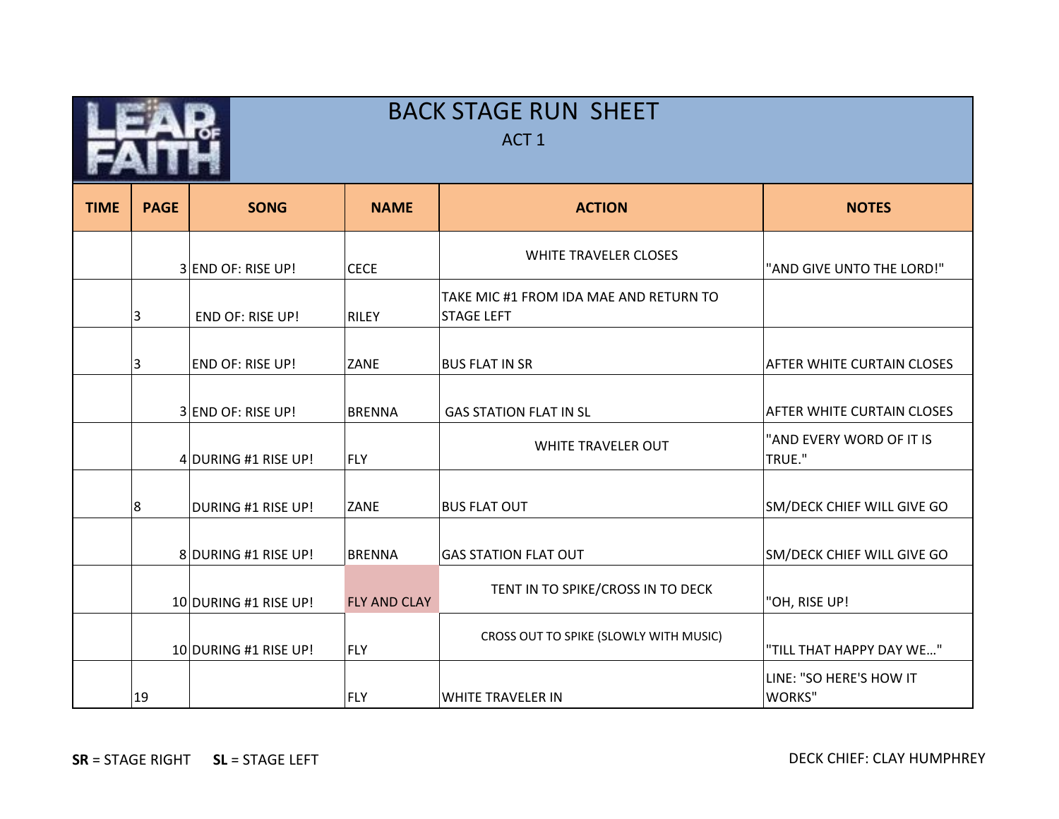|             | <b>BACK STAGE RUN SHEET</b><br>ACT <sub>1</sub> |                         |                     |                                                             |                                    |  |
|-------------|-------------------------------------------------|-------------------------|---------------------|-------------------------------------------------------------|------------------------------------|--|
| <b>TIME</b> | <b>PAGE</b>                                     | <b>SONG</b>             | <b>NAME</b>         | <b>ACTION</b>                                               | <b>NOTES</b>                       |  |
|             |                                                 | 3 END OF: RISE UP!      | <b>CECE</b>         | <b>WHITE TRAVELER CLOSES</b>                                | "AND GIVE UNTO THE LORD!"          |  |
|             | 3                                               | <b>END OF: RISE UP!</b> | <b>RILEY</b>        | TAKE MIC #1 FROM IDA MAE AND RETURN TO<br><b>STAGE LEFT</b> |                                    |  |
|             | 3                                               | END OF: RISE UP!        | ZANE                | <b>BUS FLAT IN SR</b>                                       | <b>AFTER WHITE CURTAIN CLOSES</b>  |  |
|             |                                                 | 3 END OF: RISE UP!      | <b>BRENNA</b>       | <b>GAS STATION FLAT IN SL</b>                               | AFTER WHITE CURTAIN CLOSES         |  |
|             |                                                 | 4 DURING #1 RISE UP!    | FLY                 | WHITE TRAVELER OUT                                          | "AND EVERY WORD OF IT IS<br>TRUE." |  |
|             | 8                                               | DURING #1 RISE UP!      | <b>ZANE</b>         | <b>BUS FLAT OUT</b>                                         | SM/DECK CHIEF WILL GIVE GO         |  |
|             |                                                 | 8 DURING #1 RISE UP!    | BRENNA              | <b>GAS STATION FLAT OUT</b>                                 | SM/DECK CHIEF WILL GIVE GO         |  |
|             |                                                 | 10 DURING #1 RISE UP!   | <b>FLY AND CLAY</b> | TENT IN TO SPIKE/CROSS IN TO DECK                           | "OH, RISE UP!                      |  |
|             |                                                 | 10 DURING #1 RISE UP!   | FLY                 | CROSS OUT TO SPIKE (SLOWLY WITH MUSIC)                      | "TILL THAT HAPPY DAY WE"           |  |
|             | 19                                              |                         | FLY                 | WHITE TRAVELER IN                                           | LINE: "SO HERE'S HOW IT<br>WORKS"  |  |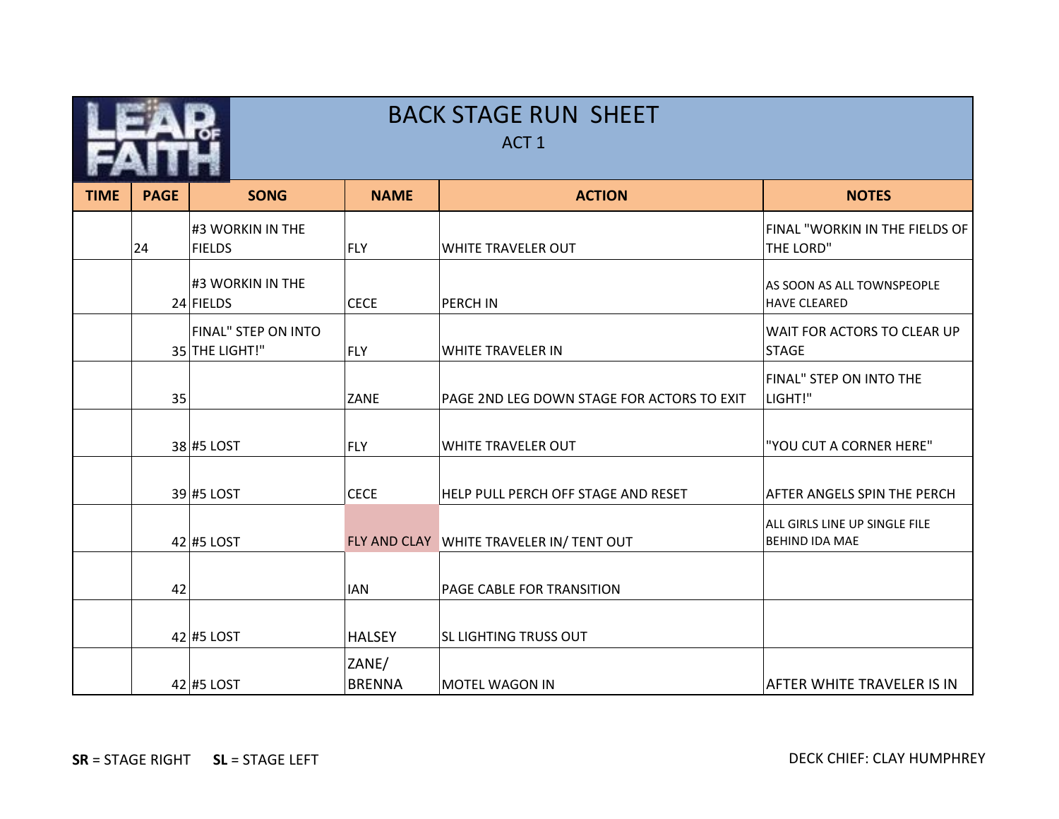|             | <b>BACK STAGE RUN SHEET</b><br>ACT <sub>1</sub> |                                       |                        |                                            |                                                        |  |  |
|-------------|-------------------------------------------------|---------------------------------------|------------------------|--------------------------------------------|--------------------------------------------------------|--|--|
| <b>TIME</b> | <b>PAGE</b>                                     | <b>SONG</b>                           | <b>NAME</b>            | <b>ACTION</b>                              | <b>NOTES</b>                                           |  |  |
|             | 24                                              | #3 WORKIN IN THE<br><b>FIELDS</b>     | <b>FLY</b>             | <b>WHITE TRAVELER OUT</b>                  | FINAL "WORKIN IN THE FIELDS OF<br>THE LORD"            |  |  |
|             |                                                 | #3 WORKIN IN THE<br>24 FIELDS         | <b>CECE</b>            | <b>PERCH IN</b>                            | AS SOON AS ALL TOWNSPEOPLE<br><b>HAVE CLEARED</b>      |  |  |
|             |                                                 | FINAL" STEP ON INTO<br>35 THE LIGHT!" | <b>FLY</b>             | <b>WHITE TRAVELER IN</b>                   | WAIT FOR ACTORS TO CLEAR UP<br><b>STAGE</b>            |  |  |
|             | 35                                              |                                       | <b>ZANE</b>            | PAGE 2ND LEG DOWN STAGE FOR ACTORS TO EXIT | FINAL" STEP ON INTO THE<br>LIGHT!"                     |  |  |
|             |                                                 | 38 #5 LOST                            | <b>FLY</b>             | WHITE TRAVELER OUT                         | "YOU CUT A CORNER HERE"                                |  |  |
|             |                                                 | 39 #5 LOST                            | <b>CECE</b>            | HELP PULL PERCH OFF STAGE AND RESET        | <b>AFTER ANGELS SPIN THE PERCH</b>                     |  |  |
|             |                                                 | $42$ #5 LOST                          |                        | FLY AND CLAY WHITE TRAVELER IN/ TENT OUT   | ALL GIRLS LINE UP SINGLE FILE<br><b>BEHIND IDA MAE</b> |  |  |
|             | 42                                              |                                       | <b>IAN</b>             | PAGE CABLE FOR TRANSITION                  |                                                        |  |  |
|             |                                                 | $42$ #5 LOST                          | <b>HALSEY</b>          | <b>SL LIGHTING TRUSS OUT</b>               |                                                        |  |  |
|             |                                                 | $42$ #5 LOST                          | ZANE/<br><b>BRENNA</b> | <b>MOTEL WAGON IN</b>                      | AFTER WHITE TRAVELER IS IN                             |  |  |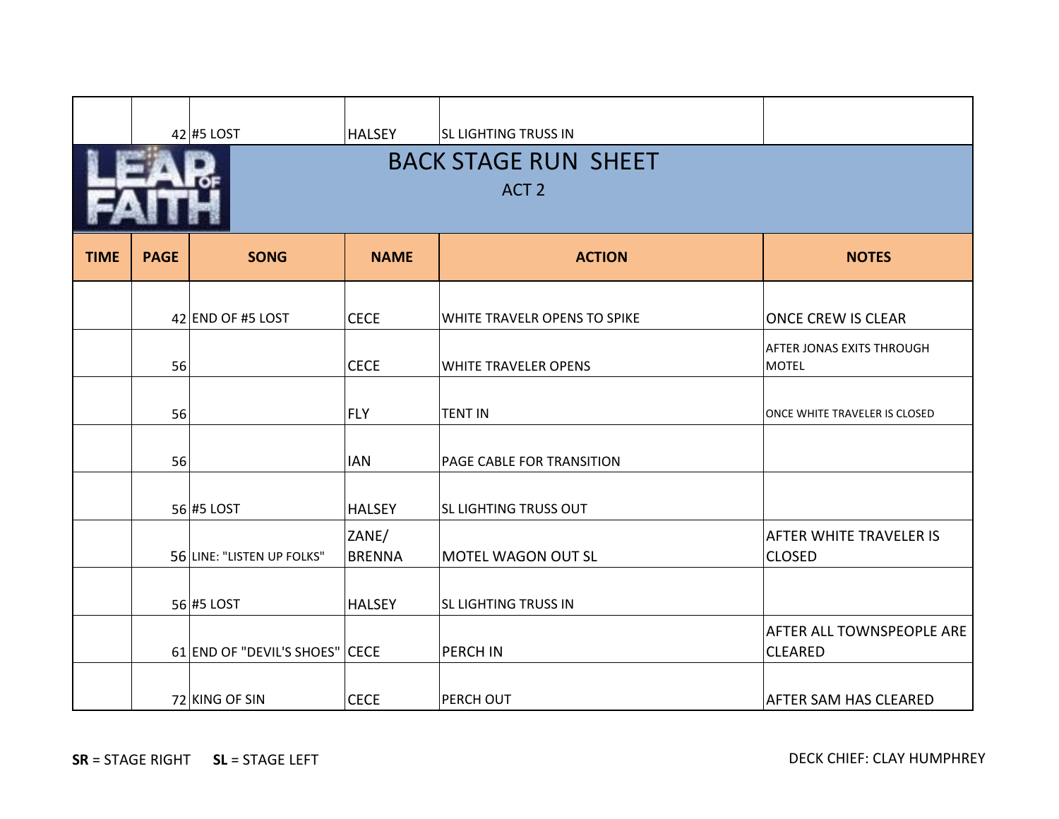|             |                                                 | $42$ #5 LOST                   | <b>HALSEY</b>          | <b>SL LIGHTING TRUSS IN</b>  |                                                    |  |  |
|-------------|-------------------------------------------------|--------------------------------|------------------------|------------------------------|----------------------------------------------------|--|--|
|             | <b>BACK STAGE RUN SHEET</b><br>ACT <sub>2</sub> |                                |                        |                              |                                                    |  |  |
|             |                                                 |                                |                        |                              |                                                    |  |  |
| <b>TIME</b> | <b>PAGE</b>                                     | <b>SONG</b>                    | <b>NAME</b>            | <b>ACTION</b>                | <b>NOTES</b>                                       |  |  |
|             |                                                 | 42 END OF #5 LOST              | <b>CECE</b>            | WHITE TRAVELR OPENS TO SPIKE | <b>ONCE CREW IS CLEAR</b>                          |  |  |
|             | 56                                              |                                | <b>CECE</b>            | WHITE TRAVELER OPENS         | <b>AFTER JONAS EXITS THROUGH</b><br><b>MOTEL</b>   |  |  |
|             | 56                                              |                                | <b>FLY</b>             | <b>TENT IN</b>               | ONCE WHITE TRAVELER IS CLOSED                      |  |  |
|             | 56                                              |                                | <b>IAN</b>             | PAGE CABLE FOR TRANSITION    |                                                    |  |  |
|             |                                                 | $56$ #5 LOST                   | <b>HALSEY</b>          | <b>SL LIGHTING TRUSS OUT</b> |                                                    |  |  |
|             |                                                 | 56 LINE: "LISTEN UP FOLKS"     | ZANE/<br><b>BRENNA</b> | MOTEL WAGON OUT SL           | <b>AFTER WHITE TRAVELER IS</b><br><b>CLOSED</b>    |  |  |
|             |                                                 | 56 #5 LOST                     | <b>HALSEY</b>          | <b>SL LIGHTING TRUSS IN</b>  |                                                    |  |  |
|             |                                                 | 61 END OF "DEVIL'S SHOES" CECE |                        | PERCH IN                     | <b>AFTER ALL TOWNSPEOPLE ARE</b><br><b>CLEARED</b> |  |  |
|             |                                                 | 72 KING OF SIN                 | <b>CECE</b>            | PERCH OUT                    | <b>AFTER SAM HAS CLEARED</b>                       |  |  |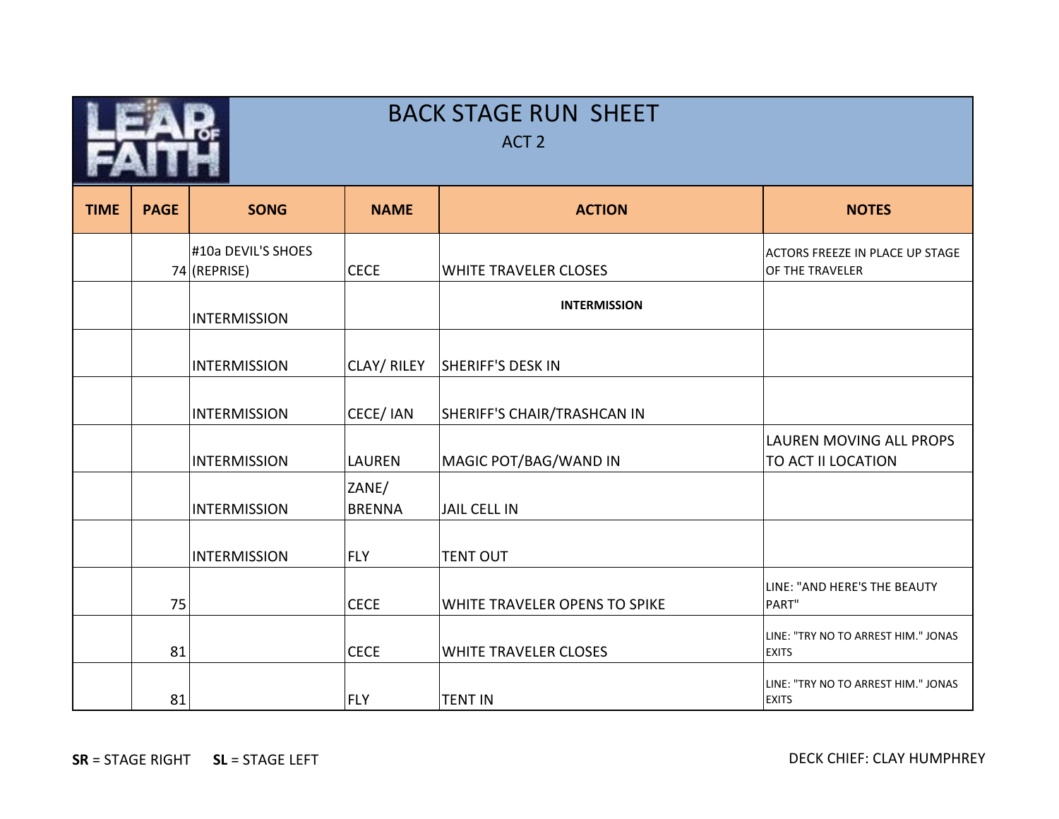|             | <b>BACK STAGE RUN SHEET</b><br>ACT <sub>2</sub> |                                      |                        |                               |                                                           |  |  |
|-------------|-------------------------------------------------|--------------------------------------|------------------------|-------------------------------|-----------------------------------------------------------|--|--|
| <b>TIME</b> | <b>PAGE</b>                                     | <b>SONG</b>                          | <b>NAME</b>            | <b>ACTION</b>                 | <b>NOTES</b>                                              |  |  |
|             |                                                 | #10a DEVIL'S SHOES<br>$74$ (REPRISE) | <b>CECE</b>            | WHITE TRAVELER CLOSES         | <b>ACTORS FREEZE IN PLACE UP STAGE</b><br>OF THE TRAVELER |  |  |
|             |                                                 | <b>INTERMISSION</b>                  |                        | <b>INTERMISSION</b>           |                                                           |  |  |
|             |                                                 | <b>INTERMISSION</b>                  | CLAY/RILEY             | <b>SHERIFF'S DESK IN</b>      |                                                           |  |  |
|             |                                                 | <b>INTERMISSION</b>                  | CECE/ IAN              | SHERIFF'S CHAIR/TRASHCAN IN   |                                                           |  |  |
|             |                                                 | <b>INTERMISSION</b>                  | <b>LAUREN</b>          | MAGIC POT/BAG/WAND IN         | LAUREN MOVING ALL PROPS<br>TO ACT II LOCATION             |  |  |
|             |                                                 | <b>INTERMISSION</b>                  | ZANE/<br><b>BRENNA</b> | JAIL CELL IN                  |                                                           |  |  |
|             |                                                 | <b>INTERMISSION</b>                  | FLY                    | <b>TENT OUT</b>               |                                                           |  |  |
|             | 75                                              |                                      | <b>CECE</b>            | WHITE TRAVELER OPENS TO SPIKE | LINE: "AND HERE'S THE BEAUTY<br>PART"                     |  |  |
|             | 81                                              |                                      | <b>CECE</b>            | <b>WHITE TRAVELER CLOSES</b>  | LINE: "TRY NO TO ARREST HIM." JONAS<br><b>EXITS</b>       |  |  |
|             | 81                                              |                                      | <b>FLY</b>             | <b>TENT IN</b>                | LINE: "TRY NO TO ARREST HIM." JONAS<br><b>EXITS</b>       |  |  |